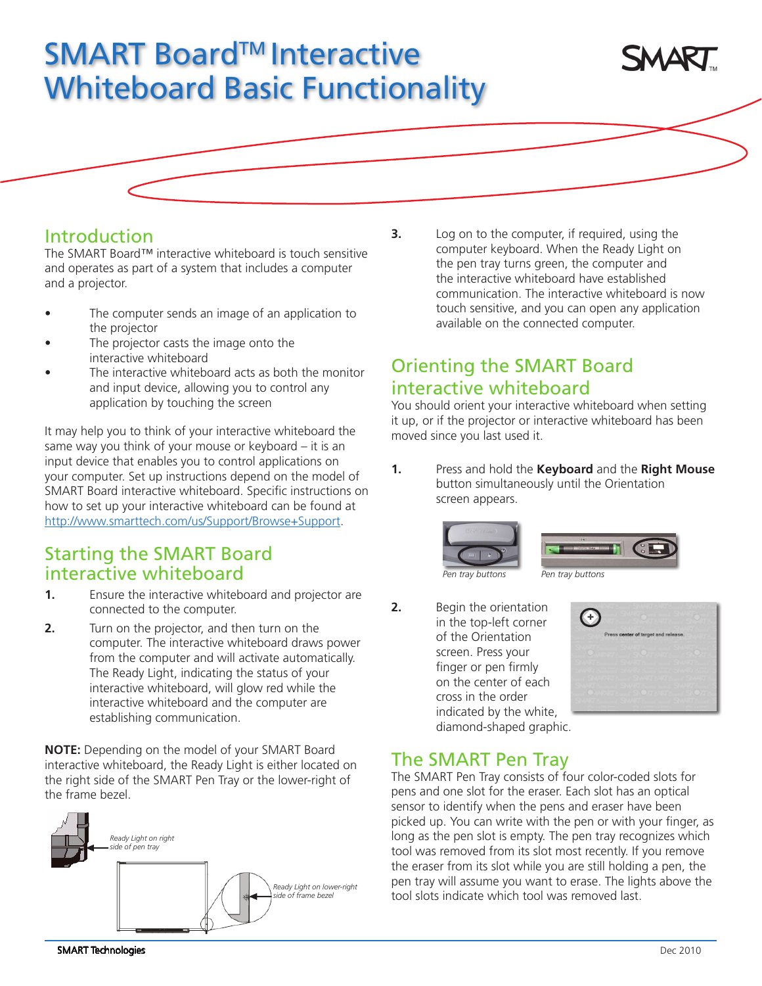# SMART Board™ Interactive Whiteboard Basic Functionality



#### Introduction

The SMART Board™ interactive whiteboard is touch sensitive and operates as part of a system that includes a computer and a projector.

- The computer sends an image of an application to the projector
- The projector casts the image onto the interactive whiteboard
- The interactive whiteboard acts as both the monitor and input device, allowing you to control any application by touching the screen

It may help you to think of your interactive whiteboard the same way you think of your mouse or keyboard – it is an input device that enables you to control applications on your computer. Set up instructions depend on the model of SMART Board interactive whiteboard. Specific instructions on how to set up your interactive whiteboard can be found at [http://www.smarttech.com/us/Support/Browse+Support.](hhttp://www.smarttech.com/us/Support/Browse+Support)

#### Starting the SMART Board interactive whiteboard

- **1.** Ensure the interactive whiteboard and projector are connected to the computer.
- **2.** Turn on the projector, and then turn on the computer. The interactive whiteboard draws power from the computer and will activate automatically. The Ready Light, indicating the status of your interactive whiteboard, will glow red while the interactive whiteboard and the computer are establishing communication.

**NOTE:** Depending on the model of your SMART Board interactive whiteboard, the Ready Light is either located on the right side of the SMART Pen Tray or the lower-right of the frame bezel.



**3.** Log on to the computer, if required, using the computer keyboard. When the Ready Light on the pen tray turns green, the computer and the interactive whiteboard have established communication. The interactive whiteboard is now touch sensitive, and you can open any application available on the connected computer.

## Orienting the SMART Board interactive whiteboard

You should orient your interactive whiteboard when setting it up, or if the projector or interactive whiteboard has been moved since you last used it.

**1.** Press and hold the **Keyboard** and the **Right Mouse** button simultaneously until the Orientation screen appears.



**2.** Begin the orientation in the top-left corner of the Orientation screen. Press your finger or pen firmly on the center of each cross in the order indicated by the white, diamond-shaped graphic.



## The SMART Pen Tray

The SMART Pen Tray consists of four color-coded slots for pens and one slot for the eraser. Each slot has an optical sensor to identify when the pens and eraser have been picked up. You can write with the pen or with your finger, as long as the pen slot is empty. The pen tray recognizes which tool was removed from its slot most recently. If you remove the eraser from its slot while you are still holding a pen, the pen tray will assume you want to erase. The lights above the tool slots indicate which tool was removed last.